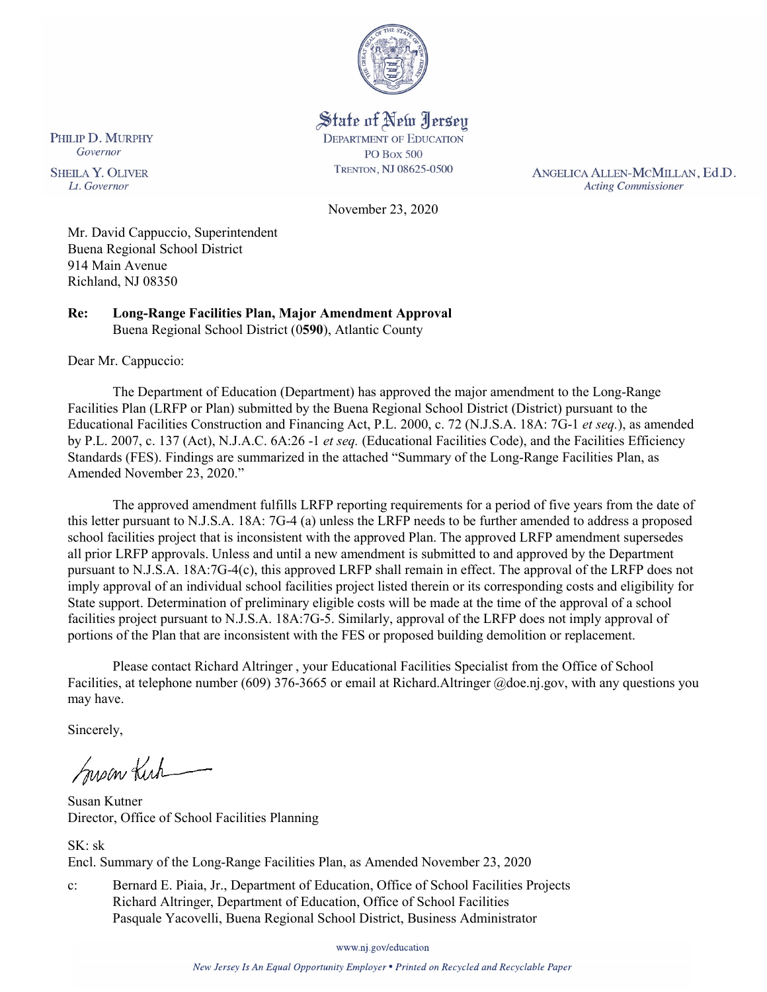

State of New Jersey **DEPARTMENT OF EDUCATION PO Box 500** TRENTON, NJ 08625-0500

ANGELICA ALLEN-MCMILLAN, Ed.D. **Acting Commissioner** 

November 23, 2020

Mr. David Cappuccio, Superintendent Buena Regional School District 914 Main Avenue Richland, NJ 08350

**Re: Long-Range Facilities Plan, Major Amendment Approval** Buena Regional School District (0**590**), Atlantic County

Dear Mr. Cappuccio:

The Department of Education (Department) has approved the major amendment to the Long-Range Facilities Plan (LRFP or Plan) submitted by the Buena Regional School District (District) pursuant to the Educational Facilities Construction and Financing Act, P.L. 2000, c. 72 (N.J.S.A. 18A: 7G-1 *et seq.*), as amended by P.L. 2007, c. 137 (Act), N.J.A.C. 6A:26 -1 *et seq.* (Educational Facilities Code), and the Facilities Efficiency Standards (FES). Findings are summarized in the attached "Summary of the Long-Range Facilities Plan, as Amended November 23, 2020."

The approved amendment fulfills LRFP reporting requirements for a period of five years from the date of this letter pursuant to N.J.S.A. 18A: 7G-4 (a) unless the LRFP needs to be further amended to address a proposed school facilities project that is inconsistent with the approved Plan. The approved LRFP amendment supersedes all prior LRFP approvals. Unless and until a new amendment is submitted to and approved by the Department pursuant to N.J.S.A. 18A:7G-4(c), this approved LRFP shall remain in effect. The approval of the LRFP does not imply approval of an individual school facilities project listed therein or its corresponding costs and eligibility for State support. Determination of preliminary eligible costs will be made at the time of the approval of a school facilities project pursuant to N.J.S.A. 18A:7G-5. Similarly, approval of the LRFP does not imply approval of portions of the Plan that are inconsistent with the FES or proposed building demolition or replacement.

Please contact Richard Altringer , your Educational Facilities Specialist from the Office of School Facilities, at telephone number (609) 376-3665 or email at Richard.Altringer @doe.nj.gov, with any questions you may have.

Sincerely,

Susan Kich

Susan Kutner Director, Office of School Facilities Planning

SK: sk Encl. Summary of the Long-Range Facilities Plan, as Amended November 23, 2020

c: Bernard E. Piaia, Jr., Department of Education, Office of School Facilities Projects Richard Altringer, Department of Education, Office of School Facilities Pasquale Yacovelli, Buena Regional School District, Business Administrator

www.nj.gov/education

New Jersey Is An Equal Opportunity Employer . Printed on Recycled and Recyclable Paper

PHILIP D. MURPHY Governor

**SHEILA Y. OLIVER** Lt. Governor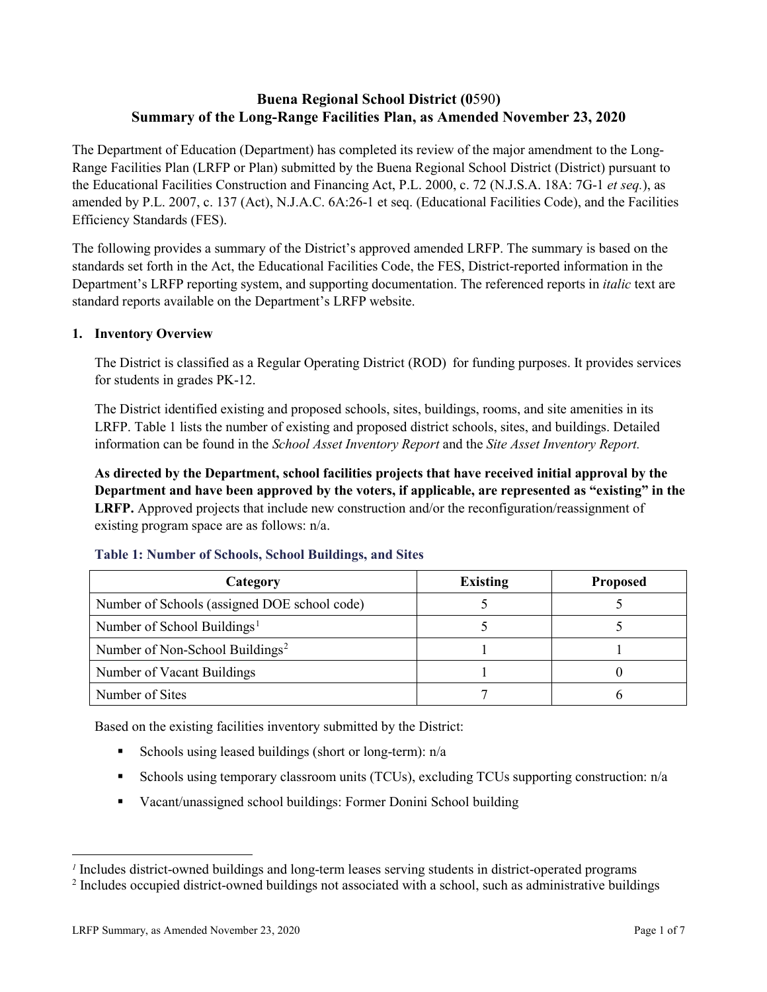# **Buena Regional School District (0**590**) Summary of the Long-Range Facilities Plan, as Amended November 23, 2020**

The Department of Education (Department) has completed its review of the major amendment to the Long-Range Facilities Plan (LRFP or Plan) submitted by the Buena Regional School District (District) pursuant to the Educational Facilities Construction and Financing Act, P.L. 2000, c. 72 (N.J.S.A. 18A: 7G-1 *et seq.*), as amended by P.L. 2007, c. 137 (Act), N.J.A.C. 6A:26-1 et seq. (Educational Facilities Code), and the Facilities Efficiency Standards (FES).

The following provides a summary of the District's approved amended LRFP. The summary is based on the standards set forth in the Act, the Educational Facilities Code, the FES, District-reported information in the Department's LRFP reporting system, and supporting documentation. The referenced reports in *italic* text are standard reports available on the Department's LRFP website.

# **1. Inventory Overview**

The District is classified as a Regular Operating District (ROD) for funding purposes. It provides services for students in grades PK-12.

The District identified existing and proposed schools, sites, buildings, rooms, and site amenities in its LRFP. Table 1 lists the number of existing and proposed district schools, sites, and buildings. Detailed information can be found in the *School Asset Inventory Report* and the *Site Asset Inventory Report.*

**As directed by the Department, school facilities projects that have received initial approval by the Department and have been approved by the voters, if applicable, are represented as "existing" in the LRFP.** Approved projects that include new construction and/or the reconfiguration/reassignment of existing program space are as follows: n/a.

| Category                                     | <b>Existing</b> | <b>Proposed</b> |
|----------------------------------------------|-----------------|-----------------|
| Number of Schools (assigned DOE school code) |                 |                 |
| Number of School Buildings <sup>1</sup>      |                 |                 |
| Number of Non-School Buildings <sup>2</sup>  |                 |                 |
| Number of Vacant Buildings                   |                 |                 |
| Number of Sites                              |                 |                 |

# **Table 1: Number of Schools, School Buildings, and Sites**

Based on the existing facilities inventory submitted by the District:

- Schools using leased buildings (short or long-term):  $n/a$
- Schools using temporary classroom units (TCUs), excluding TCUs supporting construction:  $n/a$
- Vacant/unassigned school buildings: Former Donini School building

 $\overline{a}$ 

<span id="page-1-0"></span>*<sup>1</sup>* Includes district-owned buildings and long-term leases serving students in district-operated programs

<span id="page-1-1"></span><sup>&</sup>lt;sup>2</sup> Includes occupied district-owned buildings not associated with a school, such as administrative buildings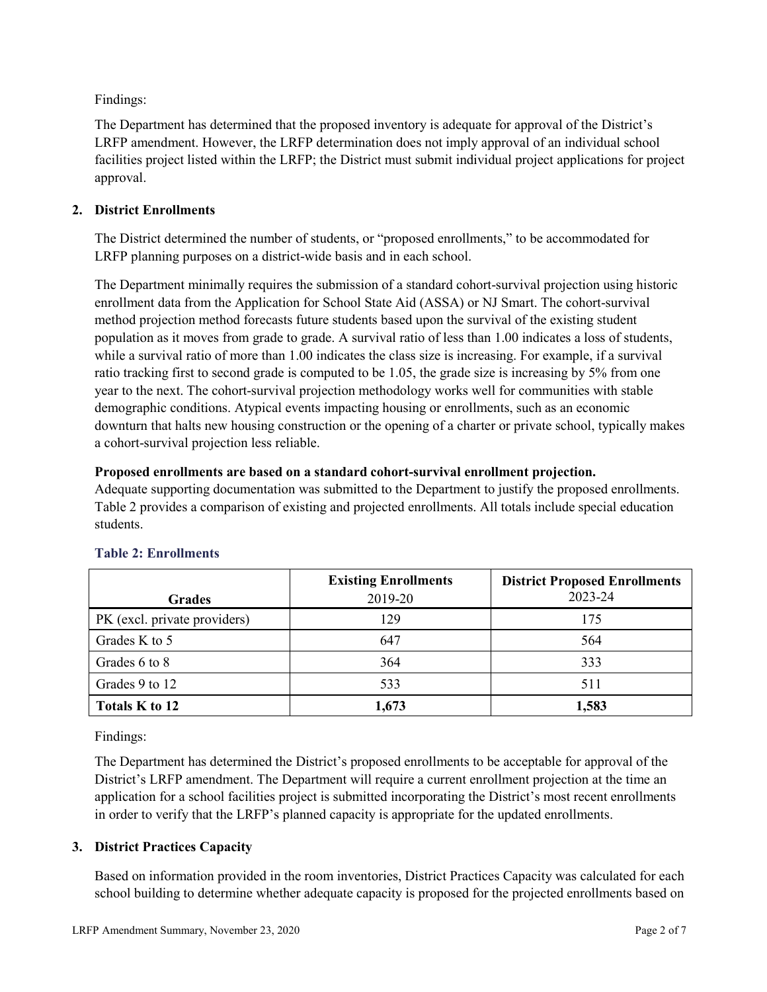Findings:

The Department has determined that the proposed inventory is adequate for approval of the District's LRFP amendment. However, the LRFP determination does not imply approval of an individual school facilities project listed within the LRFP; the District must submit individual project applications for project approval.

# **2. District Enrollments**

The District determined the number of students, or "proposed enrollments," to be accommodated for LRFP planning purposes on a district-wide basis and in each school.

The Department minimally requires the submission of a standard cohort-survival projection using historic enrollment data from the Application for School State Aid (ASSA) or NJ Smart. The cohort-survival method projection method forecasts future students based upon the survival of the existing student population as it moves from grade to grade. A survival ratio of less than 1.00 indicates a loss of students, while a survival ratio of more than 1.00 indicates the class size is increasing. For example, if a survival ratio tracking first to second grade is computed to be 1.05, the grade size is increasing by 5% from one year to the next. The cohort-survival projection methodology works well for communities with stable demographic conditions. Atypical events impacting housing or enrollments, such as an economic downturn that halts new housing construction or the opening of a charter or private school, typically makes a cohort-survival projection less reliable.

# **Proposed enrollments are based on a standard cohort-survival enrollment projection.**

Adequate supporting documentation was submitted to the Department to justify the proposed enrollments. Table 2 provides a comparison of existing and projected enrollments. All totals include special education students.

|                              | <b>Existing Enrollments</b> | <b>District Proposed Enrollments</b> |
|------------------------------|-----------------------------|--------------------------------------|
| <b>Grades</b>                | 2019-20                     | 2023-24                              |
| PK (excl. private providers) | 129                         | 175                                  |
| Grades K to 5                | 647                         | 564                                  |
| Grades 6 to 8                | 364                         | 333                                  |
| Grades 9 to 12               | 533                         | 511                                  |
| Totals K to 12               | 1,673                       | 1,583                                |

# **Table 2: Enrollments**

Findings:

The Department has determined the District's proposed enrollments to be acceptable for approval of the District's LRFP amendment. The Department will require a current enrollment projection at the time an application for a school facilities project is submitted incorporating the District's most recent enrollments in order to verify that the LRFP's planned capacity is appropriate for the updated enrollments.

# **3. District Practices Capacity**

Based on information provided in the room inventories, District Practices Capacity was calculated for each school building to determine whether adequate capacity is proposed for the projected enrollments based on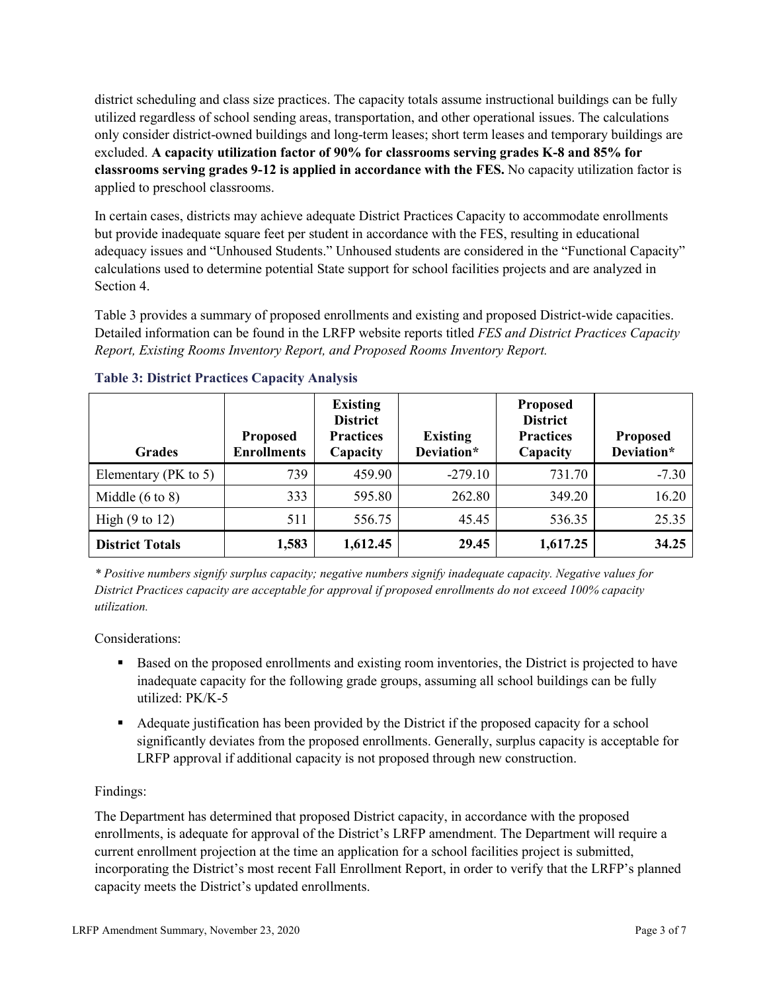district scheduling and class size practices. The capacity totals assume instructional buildings can be fully utilized regardless of school sending areas, transportation, and other operational issues. The calculations only consider district-owned buildings and long-term leases; short term leases and temporary buildings are excluded. **A capacity utilization factor of 90% for classrooms serving grades K-8 and 85% for classrooms serving grades 9-12 is applied in accordance with the FES.** No capacity utilization factor is applied to preschool classrooms.

In certain cases, districts may achieve adequate District Practices Capacity to accommodate enrollments but provide inadequate square feet per student in accordance with the FES, resulting in educational adequacy issues and "Unhoused Students." Unhoused students are considered in the "Functional Capacity" calculations used to determine potential State support for school facilities projects and are analyzed in Section 4.

Table 3 provides a summary of proposed enrollments and existing and proposed District-wide capacities. Detailed information can be found in the LRFP website reports titled *FES and District Practices Capacity Report, Existing Rooms Inventory Report, and Proposed Rooms Inventory Report.*

| <b>Grades</b>              | <b>Proposed</b><br><b>Enrollments</b> | <b>Existing</b><br><b>District</b><br><b>Practices</b><br>Capacity | <b>Existing</b><br>Deviation* | <b>Proposed</b><br><b>District</b><br><b>Practices</b><br>Capacity | <b>Proposed</b><br>Deviation* |
|----------------------------|---------------------------------------|--------------------------------------------------------------------|-------------------------------|--------------------------------------------------------------------|-------------------------------|
| Elementary ( $PK$ to 5)    | 739                                   | 459.90                                                             | $-279.10$                     | 731.70                                                             | $-7.30$                       |
| Middle $(6 \text{ to } 8)$ | 333                                   | 595.80                                                             | 262.80                        | 349.20                                                             | 16.20                         |
| High $(9 \text{ to } 12)$  | 511                                   | 556.75                                                             | 45.45                         | 536.35                                                             | 25.35                         |
| <b>District Totals</b>     | 1,583                                 | 1,612.45                                                           | 29.45                         | 1,617.25                                                           | 34.25                         |

# **Table 3: District Practices Capacity Analysis**

*\* Positive numbers signify surplus capacity; negative numbers signify inadequate capacity. Negative values for District Practices capacity are acceptable for approval if proposed enrollments do not exceed 100% capacity utilization.*

Considerations:

- Based on the proposed enrollments and existing room inventories, the District is projected to have inadequate capacity for the following grade groups, assuming all school buildings can be fully utilized: PK/K-5
- Adequate justification has been provided by the District if the proposed capacity for a school significantly deviates from the proposed enrollments. Generally, surplus capacity is acceptable for LRFP approval if additional capacity is not proposed through new construction.

# Findings:

The Department has determined that proposed District capacity, in accordance with the proposed enrollments, is adequate for approval of the District's LRFP amendment. The Department will require a current enrollment projection at the time an application for a school facilities project is submitted, incorporating the District's most recent Fall Enrollment Report, in order to verify that the LRFP's planned capacity meets the District's updated enrollments.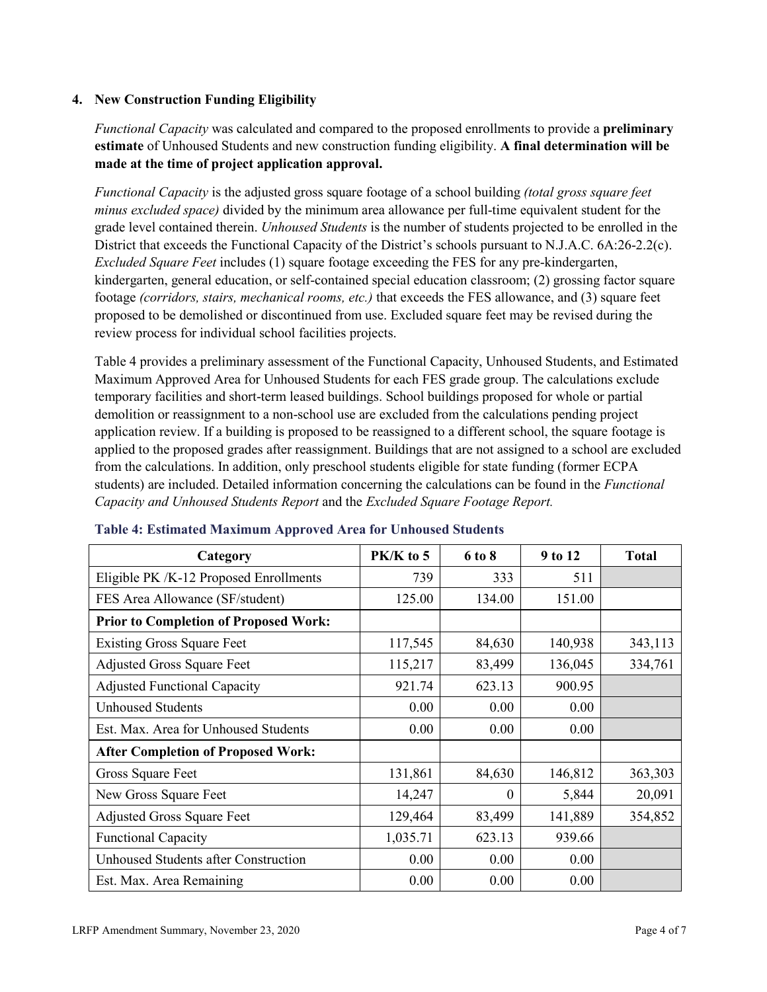### **4. New Construction Funding Eligibility**

*Functional Capacity* was calculated and compared to the proposed enrollments to provide a **preliminary estimate** of Unhoused Students and new construction funding eligibility. **A final determination will be made at the time of project application approval.**

*Functional Capacity* is the adjusted gross square footage of a school building *(total gross square feet minus excluded space)* divided by the minimum area allowance per full-time equivalent student for the grade level contained therein. *Unhoused Students* is the number of students projected to be enrolled in the District that exceeds the Functional Capacity of the District's schools pursuant to N.J.A.C. 6A:26-2.2(c). *Excluded Square Feet* includes (1) square footage exceeding the FES for any pre-kindergarten, kindergarten, general education, or self-contained special education classroom; (2) grossing factor square footage *(corridors, stairs, mechanical rooms, etc.)* that exceeds the FES allowance, and (3) square feet proposed to be demolished or discontinued from use. Excluded square feet may be revised during the review process for individual school facilities projects.

Table 4 provides a preliminary assessment of the Functional Capacity, Unhoused Students, and Estimated Maximum Approved Area for Unhoused Students for each FES grade group. The calculations exclude temporary facilities and short-term leased buildings. School buildings proposed for whole or partial demolition or reassignment to a non-school use are excluded from the calculations pending project application review. If a building is proposed to be reassigned to a different school, the square footage is applied to the proposed grades after reassignment. Buildings that are not assigned to a school are excluded from the calculations. In addition, only preschool students eligible for state funding (former ECPA students) are included. Detailed information concerning the calculations can be found in the *Functional Capacity and Unhoused Students Report* and the *Excluded Square Footage Report.*

| Category                                     | $PK/K$ to 5 | 6 to 8   | 9 to 12 | <b>Total</b> |
|----------------------------------------------|-------------|----------|---------|--------------|
| Eligible PK /K-12 Proposed Enrollments       | 739         | 333      | 511     |              |
| FES Area Allowance (SF/student)              | 125.00      | 134.00   | 151.00  |              |
| <b>Prior to Completion of Proposed Work:</b> |             |          |         |              |
| <b>Existing Gross Square Feet</b>            | 117,545     | 84,630   | 140,938 | 343,113      |
| <b>Adjusted Gross Square Feet</b>            | 115,217     | 83,499   | 136,045 | 334,761      |
| <b>Adjusted Functional Capacity</b>          | 921.74      | 623.13   | 900.95  |              |
| <b>Unhoused Students</b>                     | 0.00        | 0.00     | 0.00    |              |
| Est. Max. Area for Unhoused Students         | 0.00        | 0.00     | 0.00    |              |
| <b>After Completion of Proposed Work:</b>    |             |          |         |              |
| Gross Square Feet                            | 131,861     | 84,630   | 146,812 | 363,303      |
| New Gross Square Feet                        | 14,247      | $\theta$ | 5,844   | 20,091       |
| <b>Adjusted Gross Square Feet</b>            | 129,464     | 83,499   | 141,889 | 354,852      |
| <b>Functional Capacity</b>                   | 1,035.71    | 623.13   | 939.66  |              |
| Unhoused Students after Construction         | 0.00        | 0.00     | 0.00    |              |
| Est. Max. Area Remaining                     | 0.00        | 0.00     | 0.00    |              |

#### **Table 4: Estimated Maximum Approved Area for Unhoused Students**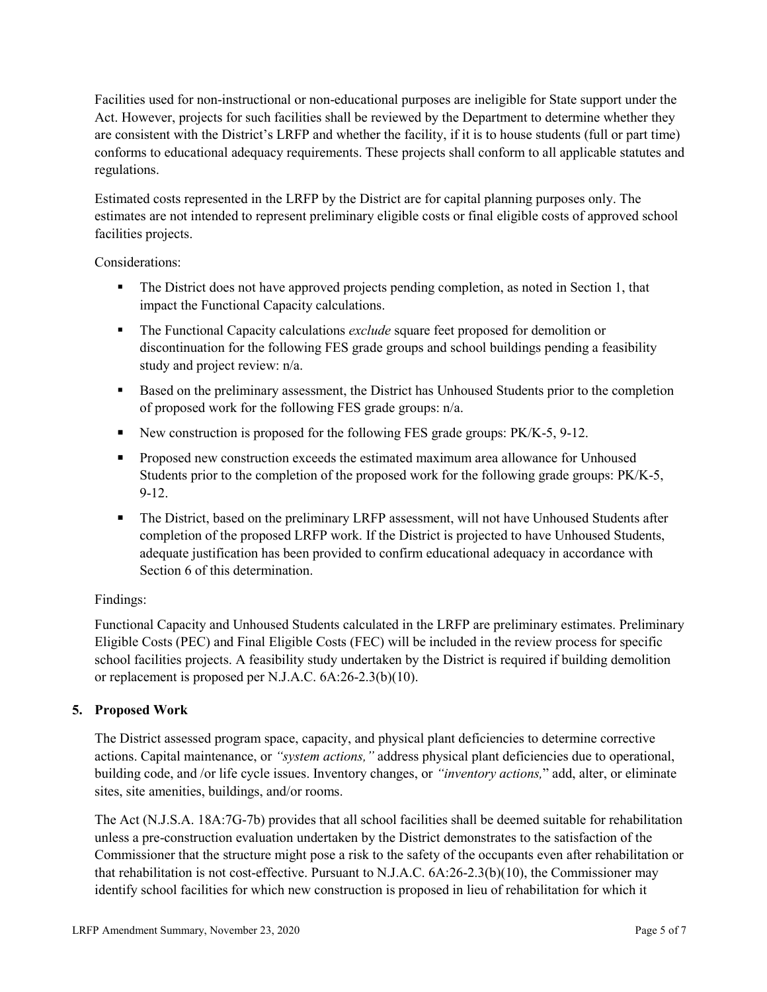Facilities used for non-instructional or non-educational purposes are ineligible for State support under the Act. However, projects for such facilities shall be reviewed by the Department to determine whether they are consistent with the District's LRFP and whether the facility, if it is to house students (full or part time) conforms to educational adequacy requirements. These projects shall conform to all applicable statutes and regulations.

Estimated costs represented in the LRFP by the District are for capital planning purposes only. The estimates are not intended to represent preliminary eligible costs or final eligible costs of approved school facilities projects.

Considerations:

- The District does not have approved projects pending completion, as noted in Section 1, that impact the Functional Capacity calculations.
- The Functional Capacity calculations *exclude* square feet proposed for demolition or discontinuation for the following FES grade groups and school buildings pending a feasibility study and project review: n/a.
- **Based on the preliminary assessment, the District has Unhoused Students prior to the completion** of proposed work for the following FES grade groups: n/a.
- New construction is proposed for the following FES grade groups: PK/K-5, 9-12.
- Proposed new construction exceeds the estimated maximum area allowance for Unhoused Students prior to the completion of the proposed work for the following grade groups: PK/K-5, 9-12.
- The District, based on the preliminary LRFP assessment, will not have Unhoused Students after completion of the proposed LRFP work. If the District is projected to have Unhoused Students, adequate justification has been provided to confirm educational adequacy in accordance with Section 6 of this determination.

# Findings:

Functional Capacity and Unhoused Students calculated in the LRFP are preliminary estimates. Preliminary Eligible Costs (PEC) and Final Eligible Costs (FEC) will be included in the review process for specific school facilities projects. A feasibility study undertaken by the District is required if building demolition or replacement is proposed per N.J.A.C. 6A:26-2.3(b)(10).

# **5. Proposed Work**

The District assessed program space, capacity, and physical plant deficiencies to determine corrective actions. Capital maintenance, or *"system actions,"* address physical plant deficiencies due to operational, building code, and /or life cycle issues. Inventory changes, or *"inventory actions,*" add, alter, or eliminate sites, site amenities, buildings, and/or rooms.

The Act (N.J.S.A. 18A:7G-7b) provides that all school facilities shall be deemed suitable for rehabilitation unless a pre-construction evaluation undertaken by the District demonstrates to the satisfaction of the Commissioner that the structure might pose a risk to the safety of the occupants even after rehabilitation or that rehabilitation is not cost-effective. Pursuant to N.J.A.C. 6A:26-2.3(b)(10), the Commissioner may identify school facilities for which new construction is proposed in lieu of rehabilitation for which it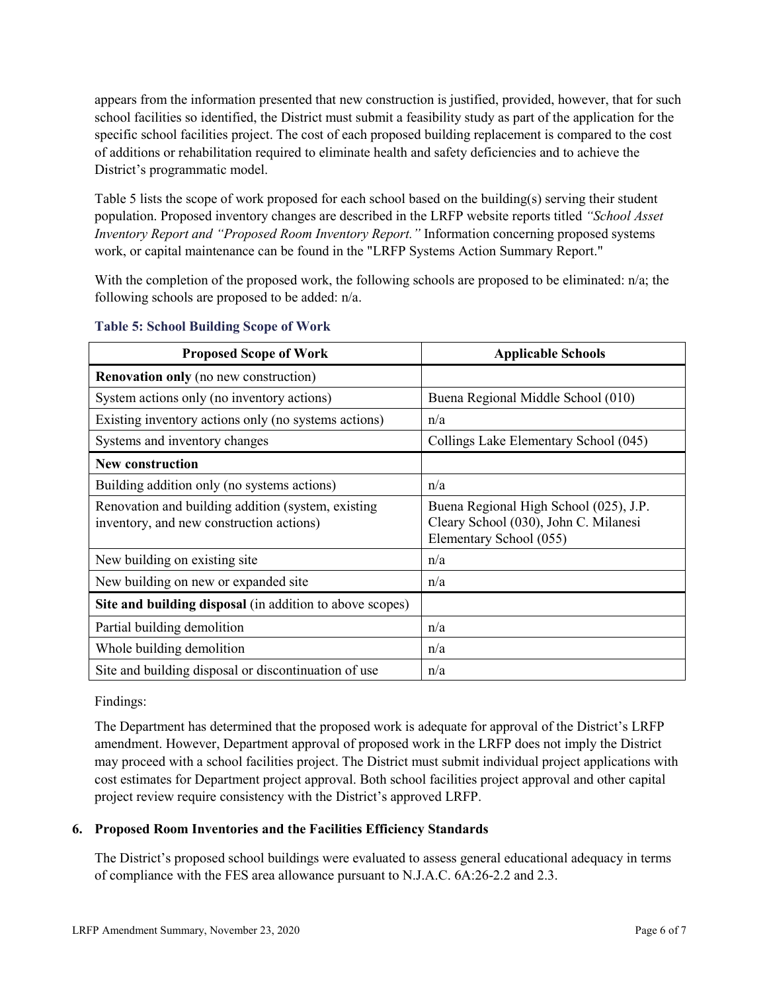appears from the information presented that new construction is justified, provided, however, that for such school facilities so identified, the District must submit a feasibility study as part of the application for the specific school facilities project. The cost of each proposed building replacement is compared to the cost of additions or rehabilitation required to eliminate health and safety deficiencies and to achieve the District's programmatic model.

Table 5 lists the scope of work proposed for each school based on the building(s) serving their student population. Proposed inventory changes are described in the LRFP website reports titled *"School Asset Inventory Report and "Proposed Room Inventory Report."* Information concerning proposed systems work, or capital maintenance can be found in the "LRFP Systems Action Summary Report."

With the completion of the proposed work, the following schools are proposed to be eliminated: n/a; the following schools are proposed to be added: n/a.

| <b>Proposed Scope of Work</b>                                                                  | <b>Applicable Schools</b>                                                                                  |
|------------------------------------------------------------------------------------------------|------------------------------------------------------------------------------------------------------------|
| <b>Renovation only</b> (no new construction)                                                   |                                                                                                            |
| System actions only (no inventory actions)                                                     | Buena Regional Middle School (010)                                                                         |
| Existing inventory actions only (no systems actions)                                           | n/a                                                                                                        |
| Systems and inventory changes                                                                  | Collings Lake Elementary School (045)                                                                      |
| <b>New construction</b>                                                                        |                                                                                                            |
| Building addition only (no systems actions)                                                    | n/a                                                                                                        |
| Renovation and building addition (system, existing<br>inventory, and new construction actions) | Buena Regional High School (025), J.P.<br>Cleary School (030), John C. Milanesi<br>Elementary School (055) |
| New building on existing site                                                                  | n/a                                                                                                        |
| New building on new or expanded site                                                           | n/a                                                                                                        |
| Site and building disposal (in addition to above scopes)                                       |                                                                                                            |
| Partial building demolition                                                                    | n/a                                                                                                        |
| Whole building demolition                                                                      | n/a                                                                                                        |
| Site and building disposal or discontinuation of use                                           | n/a                                                                                                        |

# **Table 5: School Building Scope of Work**

Findings:

The Department has determined that the proposed work is adequate for approval of the District's LRFP amendment. However, Department approval of proposed work in the LRFP does not imply the District may proceed with a school facilities project. The District must submit individual project applications with cost estimates for Department project approval. Both school facilities project approval and other capital project review require consistency with the District's approved LRFP.

# **6. Proposed Room Inventories and the Facilities Efficiency Standards**

The District's proposed school buildings were evaluated to assess general educational adequacy in terms of compliance with the FES area allowance pursuant to N.J.A.C. 6A:26-2.2 and 2.3.